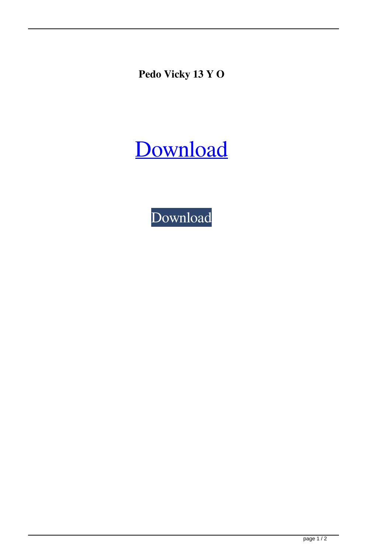**Pedo Vicky 13 Y O**

[Download](http://evacdir.com/bortezomib/finest/ZG93bmxvYWR8cDY2WVdnNWZId3hOalV5TnpRd09EWTJmSHd5TlRjMGZId29UU2tnY21WaFpDMWliRzluSUZ0R1lYTjBJRWRGVGww.curable.cGVkbyB2aWNreSAxMyB5IG8cGV/campaigners&festivities.sabse)

[Download](http://evacdir.com/bortezomib/finest/ZG93bmxvYWR8cDY2WVdnNWZId3hOalV5TnpRd09EWTJmSHd5TlRjMGZId29UU2tnY21WaFpDMWliRzluSUZ0R1lYTjBJRWRGVGww.curable.cGVkbyB2aWNreSAxMyB5IG8cGV/campaigners&festivities.sabse)